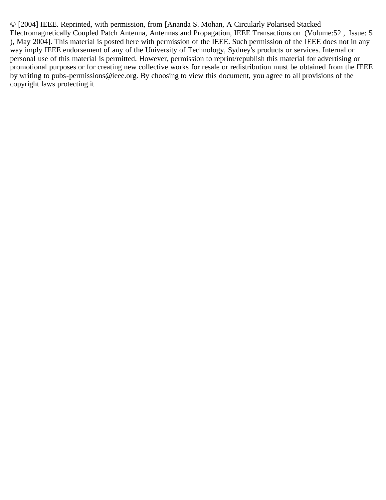© [2004] IEEE. Reprinted, with permission, from [Ananda S. Mohan, A Circularly Polarised Stacked Electromagnetically Coupled Patch Antenna, Antennas and Propagation, IEEE Transactions on (Volume:52 , Issue: 5 ), May 2004]. This material is posted here with permission of the IEEE. Such permission of the IEEE does not in any way imply IEEE endorsement of any of the University of Technology, Sydney's products or services. Internal or personal use of this material is permitted. However, permission to reprint/republish this material for advertising or promotional purposes or for creating new collective works for resale or redistribution must be obtained from the IEEE by writing to pubs-permissions@ieee.org. By choosing to view this document, you agree to all provisions of the copyright laws protecting it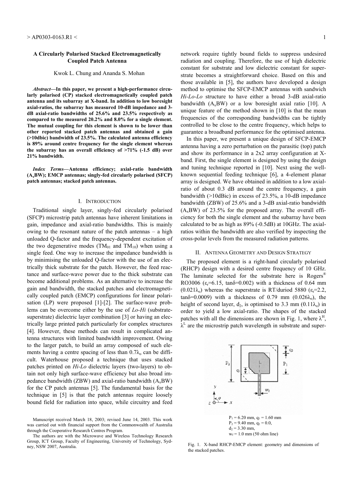# **A Circularly Polarised Stacked Electromagnetically Coupled Patch Antenna**

## Kwok L. Chung and Ananda S. Mohan

*Abstract***—In this paper, we present a high-performance circularly polarised (CP) stacked electromagnetically coupled patch antenna and its subarray at X-band. In addition to low boresight axial-ratios, the subarray has measured 10-dB impedance and 3 dB axial-ratio bandwidths of 25.6% and 23.5% respectively as compared to the measured 20.2% and 8.0% for a single element. The mutual coupling for this element is shown to be lower than other reported stacked patch antennas and obtained a gain (>10dbic) bandwidth of 23.5%. The calculated antenna efficiency is 89% around centre frequency for the single element whereas the subarray has an overall efficiency of >71% (-1.5 dB) over 21% bandwidth.** 

*Index Terms***—Antenna efficiency; axial-ratio bandwidth (AxBW); EMCP antennas; singly-fed circularly polarised (SFCP) patch antennas; stacked patch antennas.**

### I. INTRODUCTION

Traditional single layer, singly-fed circularly polarised (SFCP) microstrip patch antennas have inherent limitations in gain, impedance and axial-ratio bandwidths. This is mainly owing to the resonant nature of the patch antennas – a high unloaded Q-factor and the frequency-dependent excitation of the two degenerative modes (TM $_{01}$  and TM $_{10}$ ) when using a single feed. One way to increase the impedance bandwidth is by minimising the unloaded Q-factor with the use of an electrically thick substrate for the patch. However, the feed reactance and surface-wave power due to the thick substrate can become additional problems. As an alternative to increase the gain and bandwidth, the stacked patches and electromagnetically coupled patch (EMCP) configurations for linear polarisation (LP) were proposed [1]-[2]. The surface-wave problems can be overcome either by the use of *Lo-Hi* (substratesuperstrate) dielectric layer combination [3] or having an electrically large printed patch particularly for complex structures [4]. However, these methods can result in complicated antenna structures with limited bandwidth improvement. Owing to the larger patch, to build an array composed of such elements having a centre spacing of less than  $0.7\lambda_0$  can be difficult. Waterhouse proposed a technique that uses stacked patches printed on *Hi-Lo* dielectric layers (two-layers) to obtain not only high surface-wave efficiency but also broad impedance bandwidth (ZBW) and axial-ratio bandwidth  $(A_xBW)$ for the CP patch antennas [5]. The fundamental basis for the technique in [5] is that the patch antennas require loosely bound field for radiation into space, while circuitry and feed

Manuscript received March 18, 2003; revised June 14, 2003. This work was carried out with financial support from the Commonwealth of Australia through the Cooperative Research Centres Program.

network require tightly bound fields to suppress undesired radiation and coupling. Therefore, the use of high dielectric constant for substrate and low dielectric constant for superstrate becomes a straightforward choice. Based on this and those available in [5], the authors have developed a design method to optimise the SFCP-EMCP antennas with sandwich *Hi-Lo-Lo* structure to have either a broad 3-dB axial-ratio bandwidth  $(A_xBW)$  or a low boresight axial ratio [10]. A unique feature of the method shown in [10] is that the mean frequencies of the corresponding bandwidths can be tightly controlled to be close to the centre frequency, which helps to guarantee a broadband performance for the optimised antenna.

In this paper, we present a unique design of SFCP-EMCP antenna having a zero perturbation on the parasitic (top) patch and show its performance in a 2x2 array configuration at Xband. First, the single element is designed by using the design and tuning technique reported in [10]. Next using the wellknown sequential feeding technique [6], a 4-element planar array is designed. We have obtained in addition to a low axialratio of about 0.3 dB around the centre frequency, a gain bandwidth (>10dBic) in excess of 23.5%, a 10-dB impedance bandwidth (ZBW) of 25.6% and a 3-dB axial-ratio bandwidth  $(A_xBW)$  of 23.5% for the proposed array. The overall efficiency for both the single element and the subarray have been calculated to be as high as 89% (-0.5dB) at 10GHz. The axialratios within the bandwidth are also verified by inspecting the cross-polar levels from the measured radiation patterns.

#### II. ANTENNA GEOMETRY AND DESIGN STRATEGY

The proposed element is a right-hand circularly polarised (RHCP) design with a desired centre frequency of 10 GHz. The laminate selected for the substrate here is Rogers<sup>®</sup> RO3006 ( $\varepsilon$ =6.15, tan $\delta$ =0.002) with a thickness of 0.64 mm (0.021 $\lambda$ <sub>o</sub>) whereas the superstrate is RT/duriod 5880 ( $\varepsilon$ =2.2,  $tan\delta=0.0009$ ) with a thickness of 0.79 mm  $(0.026\lambda_0)$ , the height of second layer,  $d_2$ , is optimised to 3.3 mm (0.11 $\lambda$ <sub>o</sub>) in order to yield a low axial-ratio. The shapes of the stacked patches with all the dimensions are shown in Fig. 1, where  $\lambda^H$ ,  $\lambda^L$  are the microstrip patch wavelength in substrate and super-



Fig. 1. X-band RHCP-EMCP element: geometry and dimensions of the stacked patches.

The authors are with the Microwave and Wireless Technology Research Group, ICT Group, Faculty of Engineering, University of Technology, Sydney, NSW 2007, Australia.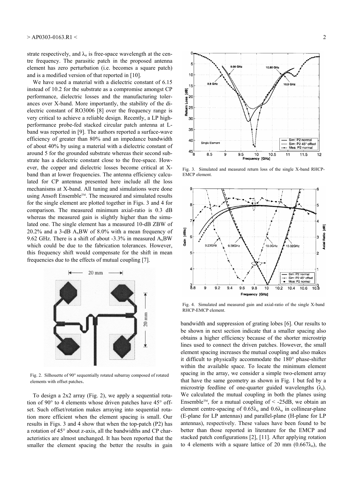strate respectively, and  $\lambda_0$  is free-space wavelength at the centre frequency. The parasitic patch in the proposed antenna element has zero perturbation (i.e. becomes a square patch) and is a modified version of that reported in [10].

We have used a material with a dielectric constant of 6.15 instead of 10.2 for the substrate as a compromise amongst CP performance, dielectric losses and the manufacturing tolerances over X-band. More importantly, the stability of the dielectric constant of RO3006 [8] over the frequency range is very critical to achieve a reliable design. Recently, a LP highperformance probe-fed stacked circular patch antenna at Lband was reported in [9]. The authors reported a surface-wave efficiency of greater than 80% and an impedance bandwidth of about 40% by using a material with a dielectric constant of around 5 for the grounded substrate whereas their second substrate has a dielectric constant close to the free-space. However, the copper and dielectric losses become critical at Xband than at lower frequencies. The antenna efficiency calculated for CP antennas presented here include all the loss mechanisms at X-band. All tuning and simulations were done using Ansoft Ensemble™. The measured and simulated results for the single element are plotted together in Figs. 3 and 4 for comparison. The measured minimum axial-ratio is 0.3 dB whereas the measured gain is slightly higher than the simulated one. The single element has a measured 10-dB ZBW of  $20.2\%$  and a 3-dB A<sub>x</sub>BW of 8.0% with a mean frequency of 9.62 GHz. There is a shift of about  $-3.3\%$  in measured  $A_xBW$ which could be due to the fabrication tolerances. However, this frequency shift would compensate for the shift in mean frequencies due to the effects of mutual coupling [7].



Fig. 2. Silhouette of 90° sequentially rotated subarray composed of rotated elements with offset patches.

To design a 2x2 array (Fig. 2), we apply a sequential rotation of 90° to 4 elements whose driven patches have 45° offset. Such offset/rotation makes arraying into sequential rotation more efficient when the element spacing is small. Our results in Figs. 3 and 4 show that when the top-patch (P2) has a rotation of 45° about z-axis, all the bandwidths and CP characteristics are almost unchanged. It has been reported that the smaller the element spacing the better the results in gain



Fig. 3. Simulated and measured return loss of the single X-band RHCP-EMCP element.



Fig. 4. Simulated and measured gain and axial-ratio of the single X-band RHCP-EMCP element.

bandwidth and suppression of grating lobes [6]. Our results to be shown in next section indicate that a smaller spacing also obtains a higher efficiency because of the shorter microstrip lines used to connect the driven patches. However, the small element spacing increases the mutual coupling and also makes it difficult to physically accommodate the 180° phase-shifter within the available space. To locate the minimum element spacing in the array, we consider a simple two-element array that have the same geometry as shown in Fig. 1 but fed by a microstrip feedline of one-quarter guided wavelengths  $(\lambda_t)$ . We calculated the mutual coupling in both the planes using Ensemble<sup>TM</sup>, for a mutual coupling of  $\leq$  -25dB, we obtain an element centre-spacing of  $0.65\lambda_0$  and  $0.6\lambda_0$  in collinear-plane (E-plane for LP antennas) and parallel-plane (H-plane for LP antennas), respectively. These values have been found to be better than those reported in literature for the EMCP and stacked patch configurations [2], [11]. After applying rotation to 4 elements with a square lattice of 20 mm  $(0.667\lambda_0)$ , the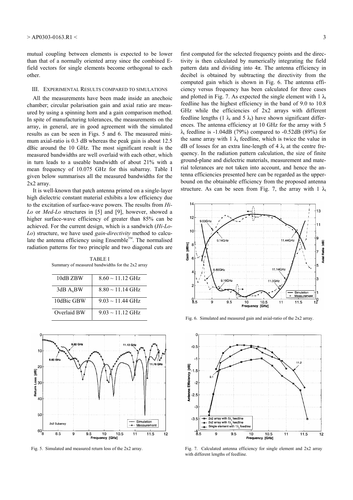mutual coupling between elements is expected to be lower than that of a normally oriented array since the combined Efield vectors for single elements become orthogonal to each other.

# III. EXPERIMENTAL RESULTS COMPARED TO SIMULATIONS

All the measurements have been made inside an anechoic chamber; circular polarisation gain and axial ratio are measured by using a spinning horn and a gain comparison method. In spite of manufacturing tolerances, the measurements on the array, in general, are in good agreement with the simulated results as can be seen in Figs. 5 and 6. The measured minimum axial-ratio is 0.3 dB whereas the peak gain is about 12.5 dBic around the 10 GHz. The most significant result is the measured bandwidths are well overlaid with each other, which in turn leads to a useable bandwidth of about 21% with a mean frequency of 10.075 GHz for this subarray. Table I given below summarises all the measured bandwidths for the 2x2 array.

It is well-known that patch antenna printed on a single-layer high dielectric constant material exhibits a low efficiency due to the excitation of surface-wave powers. The results from *Hi-Lo* or *Med-Lo* structures in [5] and [9], however, showed a higher surface-wave efficiency of greater than 85% can be achieved. For the current design, which is a sandwich (*Hi-Lo-Lo*) structure, we have used *gain-directivity* method to calculate the antenna efficiency using  $Ensemble^{TM}$ . The normalised radiation patterns for two principle and two diagonal cuts are

TABLE I Summary of measured bandwidths for the 2x2 array

| 10dB ZBW              | $8.60 \sim 11.12$ GHz    |
|-----------------------|--------------------------|
| 3dB A <sub>x</sub> BW | $8.80 \sim 11.14$ GHz    |
| 10dBic GBW            | $9.03 \sim 11.44$ GHz    |
| Overlaid BW           | $9.03 \approx 11.12$ GHz |



Fig. 5. Simulated and measured return loss of the 2x2 array.

first computed for the selected frequency points and the directivity is then calculated by numerically integrating the field pattern data and dividing into  $4π$ . The antenna efficiency in decibel is obtained by subtracting the directivity from the computed gain which is shown in Fig. 6. The antenna efficiency versus frequency has been calculated for three cases and plotted in Fig. 7. As expected the single element with  $1 \lambda_t$ feedline has the highest efficiency in the band of 9.0 to 10.8 GHz while the efficiencies of 2x2 arrays with different feedline lengths (1  $\lambda_t$  and 5  $\lambda_t$ ) have shown significant differences. The antenna efficiency at 10 GHz for the array with 5  $\lambda_t$  feedline is -1.04dB (79%) compared to -0.52dB (89%) for the same array with 1  $\lambda$ <sub>t</sub> feedline, which is twice the value in dB of losses for an extra line-length of 4  $\lambda_t$  at the centre frequency. In the radiation pattern calculation, the size of finite ground-plane and dielectric materials, measurement and material tolerances are not taken into account, and hence the antenna efficiencies presented here can be regarded as the upperbound on the obtainable efficiency from the proposed antenna structure. As can be seen from Fig. 7, the array with 1  $\lambda$ 



Fig. 6. Simulated and measured gain and axial-ratio of the 2x2 array.



Fig. 7. Calculated antenna efficiency for single element and 2x2 array with different lengths of feedline.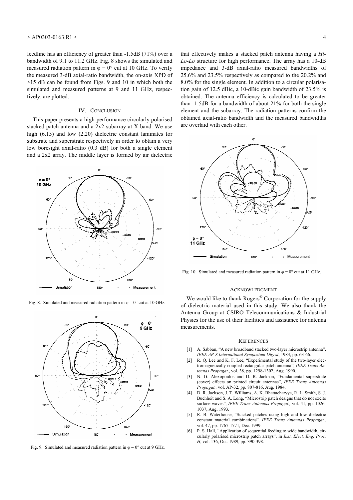feedline has an efficiency of greater than -1.5dB (71%) over a bandwidth of 9.1 to 11.2 GHz. Fig. 8 shows the simulated and measured radiation pattern in  $\varphi = 0^{\circ}$  cut at 10 GHz. To verify the measured 3-dB axial-ratio bandwidth, the on-axis XPD of >15 dB can be found from Figs. 9 and 10 in which both the simulated and measured patterns at 9 and 11 GHz, respectively, are plotted.

# IV. CONCLUSION

This paper presents a high-performance circularly polarised stacked patch antenna and a 2x2 subarray at X-band. We use high (6.15) and low (2.20) dielectric constant laminates for substrate and superstrate respectively in order to obtain a very low boresight axial-ratio (0.3 dB) for both a single element and a 2x2 array. The middle layer is formed by air dielectric



Fig. 8. Simulated and measured radiation pattern in  $\varphi = 0^{\circ}$  cut at 10 GHz.



Fig. 9. Simulated and measured radiation pattern in  $\varphi = 0^{\circ}$  cut at 9 GHz.

that effectively makes a stacked patch antenna having a *Hi-Lo-Lo* structure for high performance. The array has a 10-dB impedance and 3-dB axial-ratio measured bandwidths of 25.6% and 23.5% respectively as compared to the 20.2% and 8.0% for the single element. In addition to a circular polarisation gain of 12.5 dBic, a 10-dBic gain bandwidth of 23.5% is obtained. The antenna efficiency is calculated to be greater than -1.5dB for a bandwidth of about 21% for both the single element and the subarray. The radiation patterns confirm the obtained axial-ratio bandwidth and the measured bandwidths are overlaid with each other.



Fig. 10. Simulated and measured radiation pattern in  $\varphi = 0^{\circ}$  cut at 11 GHz.

### ACKNOWLEDGMENT

We would like to thank Rogers<sup>®</sup> Corporation for the supply of dielectric material used in this study. We also thank the Antenna Group at CSIRO Telecommunications & Industrial Physics for the use of their facilities and assistance for antenna measurements.

#### **REFERENCES**

- [1] A. Sabban, "A new broadband stacked two-layer microstrip antenna", *IEEE AP-S International Symposium Digest*, 1983, pp. 63-66.
- [2] R. Q. Lee and K. F. Lee, "Experimental study of the two-layer electromagnetically coupled rectangular patch antenna", *IEEE Trans Antennas Propagat*., vol. 38, pp. 1298-1302, Aug. 1990.
- [3] N. G. Alexopoulos and D. R. Jackson, "Fundamental superstrate (cover) effects on printed circuit antennas", *IEEE Trans Antennas Propagat.,* vol. AP-32, pp. 807-816, Aug. 1984.
- [4] D. R. Jackson, J. T. Williams, A. K. Bhattacharyya, R. L. Smith, S. J. Buchheit and S. A. Long, "Microstrip patch designs that do not excite surface waves", *IEEE Trans Antennas Propagat.,* vol. 41, pp. 1026- 1037, Aug. 1993.
- R. B. Waterhouse, "Stacked patches using high and low dielectric constant material combinations"*, IEEE Trans Antennas Propagat.,* vol. 47, pp. 1767-1771, Dec. 1999.
- [6] P. S. Hall, "Application of sequential feeding to wide bandwidth, circularly polarised microstrip patch arrays", in *Inst. Elect. Eng. Proc. H*, vol. 136, Oct. 1989, pp. 390-398.